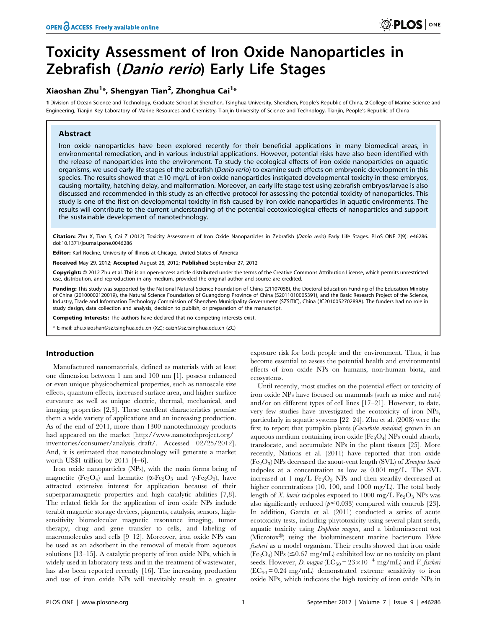# Toxicity Assessment of Iron Oxide Nanoparticles in Zebrafish (Danio rerio) Early Life Stages

# Xiaoshan Zhu $^{1\ast}$ , Shengyan Tian $^{2}$ , Zhonghua Cai $^{1\ast}$

1 Division of Ocean Science and Technology, Graduate School at Shenzhen, Tsinghua University, Shenzhen, People's Republic of China, 2 College of Marine Science and Engineering, Tianjin Key Laboratory of Marine Resources and Chemistry, Tianjin University of Science and Technology, Tianjin, People's Republic of China

# Abstract

Iron oxide nanoparticles have been explored recently for their beneficial applications in many biomedical areas, in environmental remediation, and in various industrial applications. However, potential risks have also been identified with the release of nanoparticles into the environment. To study the ecological effects of iron oxide nanoparticles on aquatic organisms, we used early life stages of the zebrafish (Danio rerio) to examine such effects on embryonic development in this species. The results showed that  $\geq$ 10 mg/L of iron oxide nanoparticles instigated developmental toxicity in these embryos, causing mortality, hatching delay, and malformation. Moreover, an early life stage test using zebrafish embryos/larvae is also discussed and recommended in this study as an effective protocol for assessing the potential toxicity of nanoparticles. This study is one of the first on developmental toxicity in fish caused by iron oxide nanoparticles in aquatic environments. The results will contribute to the current understanding of the potential ecotoxicological effects of nanoparticles and support the sustainable development of nanotechnology.

Citation: Zhu X, Tian S, Cai Z (2012) Toxicity Assessment of Iron Oxide Nanoparticles in Zebrafish (Danio rerio) Early Life Stages. PLoS ONE 7(9): e46286. doi:10.1371/journal.pone.0046286

Editor: Karl Rockne, University of Illinois at Chicago, United States of America

Received May 29, 2012; Accepted August 28, 2012; Published September 27, 2012

Copyright: © 2012 Zhu et al. This is an open-access article distributed under the terms of the Creative Commons Attribution License, which permits unrestricted use, distribution, and reproduction in any medium, provided the original author and source are credited.

Funding: This study was supported by the National Natural Science Foundation of China (21107058), the Doctoral Education Funding of the Education Ministry of China (20100002120019), the Natural Science Foundation of Guangdong Province of China (S2011010005391), and the Basic Research Project of the Science, Industry, Trade and Information Technology Commission of Shenzhen Municipality Government (SZSITIC), China (JC201005270289A). The funders had no role in study design, data collection and analysis, decision to publish, or preparation of the manuscript.

Competing Interests: The authors have declared that no competing interests exist.

\* E-mail: zhu.xiaoshan@sz.tsinghua.edu.cn (XZ); caizh@sz.tsinghua.edu.cn (ZC)

# Introduction

Manufactured nanomaterials, defined as materials with at least one dimension between 1 nm and 100 nm [1], possess enhanced or even unique physicochemical properties, such as nanoscale size effects, quantum effects, increased surface area, and higher surface curvature as well as unique electric, thermal, mechanical, and imaging properties [2,3]. These excellent characteristics promise them a wide variety of applications and an increasing production. As of the end of 2011, more than 1300 nanotechnology products had appeared on the market [http://www.nanotechproject.org/ inventories/consumer/analysis\_draft/. Accessed 02/25/2012]. And, it is estimated that nanotechnology will generate a market worth US\$1 trillion by 2015 [4–6].

Iron oxide nanoparticles (NPs), with the main forms being of magnetite (Fe<sub>3</sub>O<sub>4</sub>) and hematite ( $\alpha$ -Fe<sub>2</sub>O<sub>3</sub> and  $\gamma$ -Fe<sub>2</sub>O<sub>3</sub>), have attracted extensive interest for application because of their superparamagnetic properties and high catalytic abilities [7,8]. The related fields for the application of iron oxide NPs include terabit magnetic storage devices, pigments, catalysis, sensors, highsensitivity biomolecular magnetic resonance imaging, tumor therapy, drug and gene transfer to cells, and labeling of macromolecules and cells [9–12]. Moreover, iron oxide NPs can be used as an adsorbent in the removal of metals from aqueous solutions [13–15]. A catalytic property of iron oxide NPs, which is widely used in laboratory tests and in the treatment of wastewater, has also been reported recently [16]. The increasing production and use of iron oxide NPs will inevitably result in a greater

exposure risk for both people and the environment. Thus, it has become essential to assess the potential health and environmental effects of iron oxide NPs on humans, non-human biota, and ecosystems.

Until recently, most studies on the potential effect or toxicity of iron oxide NPs have focused on mammals (such as mice and rats) and/or on different types of cell lines [17–21]. However, to date, very few studies have investigated the ecotoxicity of iron NPs, particularly in aquatic systems [22–24]. Zhu et al. (2008) were the first to report that pumpkin plants (Cucurbita maxima) grown in an aqueous medium containing iron oxide  $(Fe<sub>3</sub>O<sub>4</sub>)$  NPs could absorb, translocate, and accumulate NPs in the plant tissues [25]. More recently, Nations et al. (2011) have reported that iron oxide  $(Fe<sub>2</sub>O<sub>3</sub>)$  NPs decreased the snout-vent length (SVL) of *Xenopus laevis* tadpoles at a concentration as low as 0.001 mg/L. The SVL increased at 1 mg/L  $Fe<sub>2</sub>O<sub>3</sub>$  NPs and then steadily decreased at higher concentrations (10, 100, and 1000 mg/L). The total body length of X. laevis tadpoles exposed to 1000 mg/L  $Fe<sub>2</sub>O<sub>3</sub>$  NPs was also significantly reduced  $(p \le 0.033)$  compared with controls [23]. In addition, García et al. (2011) conducted a series of acute ecotoxicity tests, including phytotoxicity using several plant seeds, aquatic toxicity using Daphnia magna, and a bioluminescent test (Microtox®) using the bioluminescent marine bacterium Vibrio fischeri as a model organism. Their results showed that iron oxide  $(F_{e_3}O_4)$  NPs ( $\leq 0.67$  mg/mL) exhibited low or no toxicity on plant seeds. However, D. magna (LC<sub>50</sub> =  $23 \times 10^{-4}$  mg/mL) and *V. fischeri*  $(EC_{50} = 0.24 \text{ mg/mL})$  demonstrated extreme sensitivity to iron oxide NPs, which indicates the high toxicity of iron oxide NPs in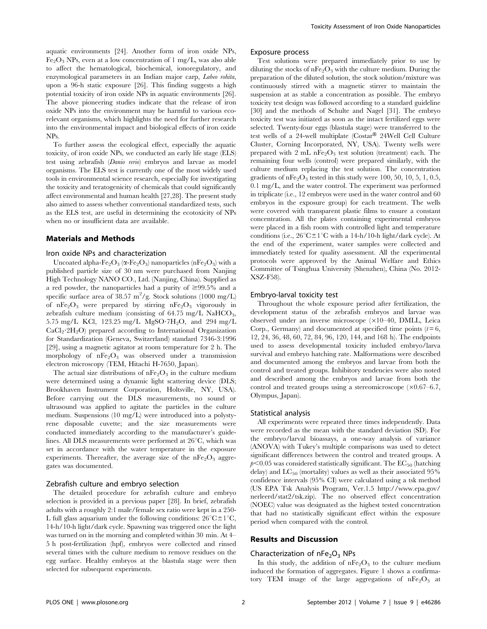aquatic environments [24]. Another form of iron oxide NPs,  $Fe<sub>2</sub>O<sub>3</sub>$  NPs, even at a low concentration of 1 mg/L, was also able to affect the hematological, biochemical, ionoregulatory, and enzymological parameters in an Indian major carp, Labeo rohita, upon a 96-h static exposure [26]. This finding suggests a high potential toxicity of iron oxide NPs in aquatic environments [26]. The above pioneering studies indicate that the release of iron oxide NPs into the environment may be harmful to various ecorelevant organisms, which highlights the need for further research into the environmental impact and biological effects of iron oxide NPs.

To further assess the ecological effect, especially the aquatic toxicity, of iron oxide NPs, we conducted an early life stage (ELS) test using zebrafish (Danio rerio) embryos and larvae as model organisms. The ELS test is currently one of the most widely used tools in environmental science research, especially for investigating the toxicity and teratogenicity of chemicals that could significantly affect environmental and human health [27,28]. The present study also aimed to assess whether conventional standardized tests, such as the ELS test, are useful in determining the ecotoxicity of NPs when no or insufficient data are available.

# Materials and Methods

#### Iron oxide NPs and characterization

Uncoated alpha-Fe<sub>2</sub>O<sub>3</sub> ( $\alpha$ -Fe<sub>2</sub>O<sub>3</sub>) nanoparticles (nFe<sub>2</sub>O<sub>3</sub>) with a published particle size of 30 nm were purchased from Nanjing High Technology NANO CO., Ltd. (Nanjing, China). Supplied as a red powder, the nanoparticles had a purity of  $\geq 99.5\%$  and a specific surface area of 38.57 m<sup>2</sup>/g. Stock solutions (1000 mg/L) of nFe<sub>2</sub>O<sub>3</sub> were prepared by stirring nFe<sub>2</sub>O<sub>3</sub> vigorously in zebrafish culture medium (consisting of  $64.75 \text{ mg/L }$  NaHCO<sub>3</sub>, 5.75 mg/L KCl, 123.25 mg/L MgSO $\cdot$ 7H<sub>2</sub>O, and 294 mg/L  $CaCl<sub>2</sub>·2H<sub>2</sub>O$ ) prepared according to International Organization for Standardization (Geneva, Switzerland) standard 7346-3:1996 [29], using a magnetic agitator at room temperature for 2 h. The morphology of  $nFe<sub>2</sub>O<sub>3</sub>$  was observed under a transmission electron microscopy (TEM, Hitachi H-7650, Japan).

The actual size distributions of  $nFe<sub>2</sub>O<sub>3</sub>$  in the culture medium were determined using a dynamic light scattering device (DLS; Brookhaven Instrument Corporation, Holtsville, NY, USA). Before carrying out the DLS measurements, no sound or ultrasound was applied to agitate the particles in the culture medium. Suspensions (10 mg/L) were introduced into a polystyrene disposable cuvette; and the size measurements were conducted immediately according to the manufacturer's guidelines. All DLS measurements were performed at  $26^{\circ}C$ , which was set in accordance with the water temperature in the exposure experiments. Thereafter, the average size of the  $nFe<sub>2</sub>O<sub>3</sub>$  aggregates was documented.

#### Zebrafish culture and embryo selection

The detailed procedure for zebrafish culture and embryo selection is provided in a previous paper [28]. In brief, zebrafish adults with a roughly 2:1 male/female sex ratio were kept in a 250- L full glass aquarium under the following conditions:  $26^{\circ}C \pm 1^{\circ}C$ , 14-h/10-h light/dark cycle. Spawning was triggered once the light was turned on in the morning and completed within 30 min. At 4– 5 h post-fertilization (hpf), embryos were collected and rinsed several times with the culture medium to remove residues on the egg surface. Healthy embryos at the blastula stage were then selected for subsequent experiments.

#### Exposure process

Test solutions were prepared immediately prior to use by diluting the stocks of  $nFe<sub>2</sub>O<sub>3</sub>$  with the culture medium. During the preparation of the diluted solution, the stock solution/mixture was continuously stirred with a magnetic stirrer to maintain the suspension at as stable a concentration as possible. The embryo toxicity test design was followed according to a standard guideline [30] and the methods of Schulte and Nagel [31]. The embryo toxicity test was initiated as soon as the intact fertilized eggs were selected. Twenty-four eggs (blastula stage) were transferred to the test wells of a 24-well multiplate ( $\text{Costar}^{\circledR}$  24Well Cell Culture Cluster, Corning Incorporated, NY, USA). Twenty wells were prepared with 2 mL nFe<sub>2</sub>O<sub>3</sub> test solution (treatment) each. The remaining four wells (control) were prepared similarly, with the culture medium replacing the test solution. The concentration gradients of  $nFe<sub>2</sub>O<sub>3</sub>$  tested in this study were 100, 50, 10, 5, 1, 0.5, 0.1 mg/L, and the water control. The experiment was performed in triplicate (i.e., 12 embryos were used in the water control and 60 embryos in the exposure group) for each treatment. The wells were covered with transparent plastic films to ensure a constant concentration. All the plates containing experimental embryos were placed in a fish room with controlled light and temperature conditions (i.e.,  $26^{\circ}C \pm 1^{\circ}C$  with a 14-h/10-h light/dark cycle). At the end of the experiment, water samples were collected and immediately tested for quality assessment. All the experimental protocols were approved by the Animal Welfare and Ethics Committee of Tsinghua University (Shenzhen), China (No. 2012- XSZ-F58).

#### Embryo-larval toxicity test

Throughout the whole exposure period after fertilization, the development status of the zebrafish embryos and larvae was observed under an inverse microscope (×10–40, DMLL, Leica Corp., Germany) and documented at specified time points  $(t=6,$ 12, 24, 36, 48, 60, 72, 84, 96, 120, 144, and 168 h). The endpoints used to assess developmental toxicity included embryo/larva survival and embryo hatching rate. Malformations were described and documented among the embryos and larvae from both the control and treated groups. Inhibitory tendencies were also noted and described among the embryos and larvae from both the control and treated groups using a stereomicroscope  $(\times 0.67-6.7,$ Olympus, Japan).

#### Statistical analysis

All experiments were repeated three times independently. Data were recorded as the mean with the standard deviation (SD). For the embryo/larval bioassays, a one-way analysis of variance (ANOVA) with Tukey's multiple comparisons was used to detect significant differences between the control and treated groups. A  $p<0.05$  was considered statistically significant. The EC<sub>50</sub> (hatching delay) and  $LC_{50}$  (mortality) values as well as their associated 95% confidence intervals (95% CI) were calculated using a tsk method (US EPA Tsk Analysis Program, Ver.1.5 http://www.epa.gov/ nerleerd/stat2/tsk.zip). The no observed effect concentration (NOEC) value was designated as the highest tested concentration that had no statistically significant effect within the exposure period when compared with the control.

# Results and Discussion

#### Characterization of  $nFe<sub>2</sub>O<sub>3</sub>$  NPs

In this study, the addition of  $nFe<sub>2</sub>O<sub>3</sub>$  to the culture medium induced the formation of aggregates. Figure 1 shows a confirmatory TEM image of the large aggregations of  $nFe<sub>2</sub>O<sub>3</sub>$  at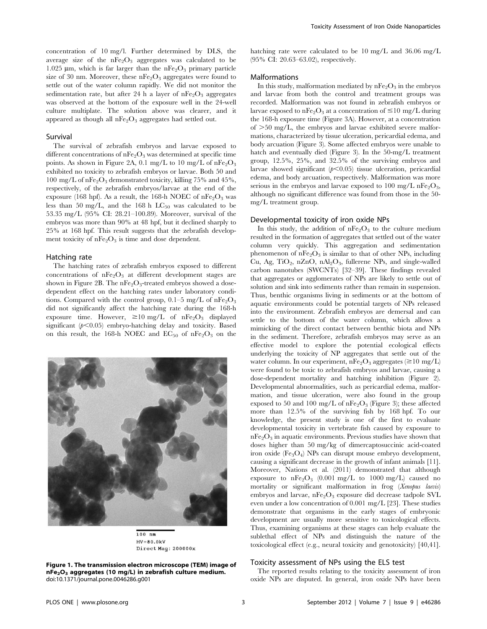concentration of 10 mg/l. Further determined by DLS, the average size of the  $nFe<sub>2</sub>O<sub>3</sub>$  aggregates was calculated to be 1.025  $\mu$ m, which is far larger than the nFe<sub>2</sub>O<sub>3</sub> primary particle size of 30 nm. Moreover, these  $nFe<sub>2</sub>O<sub>3</sub>$  aggregates were found to settle out of the water column rapidly. We did not monitor the sedimentation rate, but after 24 h a layer of  $nFe<sub>2</sub>O<sub>3</sub>$  aggregates was observed at the bottom of the exposure well in the 24-well culture multiplate. The solution above was clearer, and it appeared as though all  $nFe<sub>2</sub>O<sub>3</sub>$  aggregates had settled out.

#### Survival

The survival of zebrafish embryos and larvae exposed to different concentrations of  $nFe<sub>2</sub>O<sub>3</sub>$  was determined at specific time points. As shown in Figure 2A, 0.1 mg/L to 10 mg/L of  $nFe<sub>2</sub>O<sub>3</sub>$ exhibited no toxicity to zebrafish embryos or larvae. Both 50 and 100 mg/L of nFe<sub>2</sub>O<sub>3</sub> demonstrated toxicity, killing 75% and 45%, respectively, of the zebrafish embryos/larvae at the end of the exposure (168 hpf). As a result, the 168-h NOEC of  $nFe<sub>2</sub>O<sub>3</sub>$  was less than 50 mg/L, and the 168 h  $LC_{50}$  was calculated to be 53.35 mg/L (95% CI: 28.21–100.89). Moreover, survival of the embryos was more than 90% at 48 hpf, but it declined sharply to 25% at 168 hpf. This result suggests that the zebrafish development toxicity of  $nFe<sub>2</sub>O<sub>3</sub>$  is time and dose dependent.

#### Hatching rate

The hatching rates of zebrafish embryos exposed to different concentrations of  $nFe<sub>2</sub>O<sub>3</sub>$  at different development stages are shown in Figure 2B. The  $nFe<sub>2</sub>O<sub>3</sub>$ -treated embryos showed a dosedependent effect on the hatching rates under laboratory conditions. Compared with the control group,  $0.1-5$  mg/L of  $nFe<sub>2</sub>O<sub>3</sub>$ did not significantly affect the hatching rate during the 168-h exposure time. However,  $\geq 10$  mg/L of nFe<sub>2</sub>O<sub>3</sub> displayed significant  $(p<0.05)$  embryo-hatching delay and toxicity. Based on this result, the 168-h NOEC and  $EC_{50}$  of  $nFe<sub>2</sub>O<sub>3</sub>$  on the



 $100$  nm  $HV=80.0kV$ Direct Mag: 200000x

Figure 1. The transmission electron microscope (TEM) image of  $nFe<sub>2</sub>O<sub>3</sub>$  aggregates (10 mg/L) in zebrafish culture medium. doi:10.1371/journal.pone.0046286.g001

hatching rate were calculated to be 10 mg/L and 36.06 mg/L (95% CI: 20.63–63.02), respectively.

## Malformations

In this study, malformation mediated by  $nFe<sub>2</sub>O<sub>3</sub>$  in the embryos and larvae from both the control and treatment groups was recorded. Malformation was not found in zebrafish embryos or larvae exposed to nFe<sub>2</sub>O<sub>3</sub> at a concentration of  $\leq$ 10 mg/L during the 168-h exposure time (Figure 3A). However, at a concentration of  $>50$  mg/L, the embryos and larvae exhibited severe malformations, characterized by tissue ulceration, pericardial edema, and body arcuation (Figure 3). Some affected embryos were unable to hatch and eventually died (Figure 3). In the 50-mg/L treatment group, 12.5%, 25%, and 32.5% of the surviving embryos and larvae showed significant  $(p<0.05)$  tissue ulceration, pericardial edema, and body arcuation, respectively. Malformation was more serious in the embryos and larvae exposed to 100 mg/L nFe<sub>2</sub>O<sub>3</sub>, although no significant difference was found from those in the 50 mg/L treatment group.

## Developmental toxicity of iron oxide NPs

In this study, the addition of  $nFe<sub>2</sub>O<sub>3</sub>$  to the culture medium resulted in the formation of aggregates that settled out of the water column very quickly. This aggregation and sedimentation phenomenon of  $nFe<sub>2</sub>O<sub>3</sub>$  is similar to that of other NPs, including Cu, Ag, TiO<sub>2</sub>, nZnO, nAl<sub>2</sub>O<sub>3</sub>, fullerene NPs, and single-walled carbon nanotubes (SWCNTs) [32–39]. These findings revealed that aggregates or agglomerates of NPs are likely to settle out of solution and sink into sediments rather than remain in suspension. Thus, benthic organisms living in sediments or at the bottom of aquatic environments could be potential targets of NPs released into the environment. Zebrafish embryos are demersal and can settle to the bottom of the water column, which allows a mimicking of the direct contact between benthic biota and NPs in the sediment. Therefore, zebrafish embryos may serve as an effective model to explore the potential ecological effects underlying the toxicity of NP aggregates that settle out of the water column. In our experiment,  $nFe<sub>2</sub>O<sub>3</sub>$  aggregates ( $\geq$ 10 mg/L) were found to be toxic to zebrafish embryos and larvae, causing a dose-dependent mortality and hatching inhibition (Figure 2). Developmental abnormalities, such as pericardial edema, malformation, and tissue ulceration, were also found in the group exposed to 50 and 100 mg/L of  $nFe<sub>2</sub>O<sub>3</sub>$  (Figure 3); these affected more than 12.5% of the surviving fish by 168 hpf. To our knowledge, the present study is one of the first to evaluate developmental toxicity in vertebrate fish caused by exposure to  $nFe<sub>2</sub>O<sub>3</sub>$  in aquatic environments. Previous studies have shown that doses higher than 50 mg/kg of dimercaptosuccinic acid-coated iron oxide  $(F_{\mathcal{C}_3}O_4)$  NPs can disrupt mouse embryo development, causing a significant decrease in the growth of infant animals [11]. Moreover, Nations et al. (2011) demonstrated that although exposure to  $nFe<sub>2</sub>O<sub>3</sub>$  (0.001 mg/L to 1000 mg/L) caused no mortality or significant malformation in frog (Xenopus laevis) embryos and larvae,  $nFe<sub>2</sub>O<sub>3</sub>$  exposure did decrease tadpole SVL even under a low concentration of 0.001 mg/L [23]. These studies demonstrate that organisms in the early stages of embryonic development are usually more sensitive to toxicological effects. Thus, examining organisms at these stages can help evaluate the sublethal effect of NPs and distinguish the nature of the toxicological effect (e.g., neural toxicity and genotoxicity) [40,41].

#### Toxicity assessment of NPs using the ELS test

The reported results relating to the toxicity assessment of iron oxide NPs are disputed. In general, iron oxide NPs have been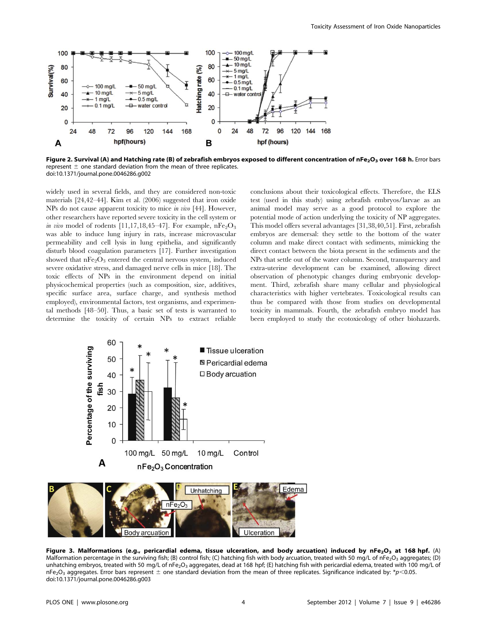

Figure 2. Survival (A) and Hatching rate (B) of zebrafish embryos exposed to different concentration of nFe<sub>2</sub>O<sub>3</sub> over 168 h. Error bars represent  $\pm$  one standard deviation from the mean of three replicates. doi:10.1371/journal.pone.0046286.g002

widely used in several fields, and they are considered non-toxic materials [24,42–44]. Kim et al. (2006) suggested that iron oxide NPs do not cause apparent toxicity to mice in vivo [44]. However, other researchers have reported severe toxicity in the cell system or in vivo model of rodents [11,17,18,45–47]. For example,  $nFe<sub>2</sub>O<sub>3</sub>$ was able to induce lung injury in rats, increase microvascular permeability and cell lysis in lung epithelia, and significantly disturb blood coagulation parameters [17]. Further investigation showed that  $nFe<sub>2</sub>O<sub>3</sub>$  entered the central nervous system, induced severe oxidative stress, and damaged nerve cells in mice [18]. The toxic effects of NPs in the environment depend on initial physicochemical properties (such as composition, size, additives, specific surface area, surface charge, and synthesis method employed), environmental factors, test organisms, and experimental methods [48–50]. Thus, a basic set of tests is warranted to determine the toxicity of certain NPs to extract reliable

conclusions about their toxicological effects. Therefore, the ELS test (used in this study) using zebrafish embryos/larvae as an animal model may serve as a good protocol to explore the potential mode of action underlying the toxicity of NP aggregates. This model offers several advantages [31,38,40,51]. First, zebrafish embryos are demersal: they settle to the bottom of the water column and make direct contact with sediments, mimicking the direct contact between the biota present in the sediments and the NPs that settle out of the water column. Second, transparency and extra-uterine development can be examined, allowing direct observation of phenotypic changes during embryonic development. Third, zebrafish share many cellular and physiological characteristics with higher vertebrates. Toxicological results can thus be compared with those from studies on developmental toxicity in mammals. Fourth, the zebrafish embryo model has been employed to study the ecotoxicology of other biohazards.



**Body arcuation** 

Figure 3. Malformations (e.g., pericardial edema, tissue ulceration, and body arcuation) induced by nFe<sub>2</sub>O<sub>3</sub> at 168 hpf. (A) Malformation percentage in the surviving fish; (B) control fish; (C) hatching fish with body arcuation, treated with 50 mg/L of nFe<sub>2</sub>O<sub>3</sub> aggregates; (D) unhatching embryos, treated with 50 mg/L of nFe<sub>2</sub>O<sub>3</sub> aggregates, dead at 168 hpf; (E) hatching fish with pericardial edema, treated with 100 mg/L of nFe<sub>2</sub>O<sub>3</sub> aggregates. Error bars represent  $\pm$  one standard deviation from the mean of three replicates. Significance indicated by: \*p<0.05. doi:10.1371/journal.pone.0046286.g003

Ulceration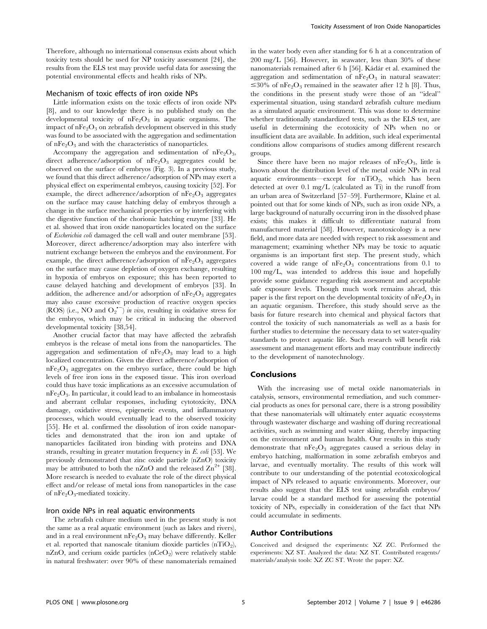Therefore, although no international consensus exists about which toxicity tests should be used for NP toxicity assessment [24], the results from the ELS test may provide useful data for assessing the potential environmental effects and health risks of NPs.

#### Mechanism of toxic effects of iron oxide NPs

Little information exists on the toxic effects of iron oxide NPs [8], and to our knowledge there is no published study on the developmental toxicity of  $nFe<sub>2</sub>O<sub>3</sub>$  in aquatic organisms. The impact of  $nFe<sub>2</sub>O<sub>3</sub>$  on zebrafish development observed in this study was found to be associated with the aggregation and sedimentation of  $nFe<sub>2</sub>O<sub>3</sub>$  and with the characteristics of nanoparticles.

Accompany the aggregation and sedimentation of  $nFe<sub>2</sub>O<sub>3</sub>$ , direct adherence/adsorption of  $nFe<sub>2</sub>O<sub>3</sub>$  aggregates could be observed on the surface of embryos (Fig. 3). In a previous study, we found that this direct adherence/adsorption of NPs may exert a physical effect on experimental embryos, causing toxicity [52]. For example, the direct adherence/adsorption of  $nFe<sub>2</sub>O<sub>3</sub>$  aggregates on the surface may cause hatching delay of embryos through a change in the surface mechanical properties or by interfering with the digestive function of the chorionic hatching enzyme [33]. He et al. showed that iron oxide nanoparticles located on the surface of Escherichia coli damaged the cell wall and outer membrane [53]. Moreover, direct adherence/adsorption may also interfere with nutrient exchange between the embryos and the environment. For example, the direct adherence/adsorption of  $nFe<sub>2</sub>O<sub>3</sub>$  aggregates on the surface may cause depletion of oxygen exchange, resulting in hypoxia of embryos on exposure; this has been reported to cause delayed hatching and development of embryos [33]. In addition, the adherence and/or adsorption of  $nFe<sub>2</sub>O<sub>3</sub>$  aggregates may also cause excessive production of reactive oxygen species (ROS) (i.e., NO and  $O_2^{\text{-}}$ ) in vivo, resulting in oxidative stress for the embryos, which may be critical in inducing the observed developmental toxicity [38,54].

Another crucial factor that may have affected the zebrafish embryos is the release of metal ions from the nanoparticles. The aggregation and sedimentation of  $nFe<sub>2</sub>O<sub>3</sub>$  may lead to a high localized concentration. Given the direct adherence/adsorption of  $nFe<sub>2</sub>O<sub>3</sub>$  aggregates on the embryo surface, there could be high levels of free iron ions in the exposed tissue. This iron overload could thus have toxic implications as an excessive accumulation of  $nFe<sub>2</sub>O<sub>3</sub>$ . In particular, it could lead to an imbalance in homeostasis and aberrant cellular responses, including cytotoxicity, DNA damage, oxidative stress, epigenetic events, and inflammatory processes, which would eventually lead to the observed toxicity [55]. He et al. confirmed the dissolution of iron oxide nanoparticles and demonstrated that the iron ion and uptake of nanoparticles facilitated iron binding with proteins and DNA strands, resulting in greater mutation frequency in E. coli [53]. We previously demonstrated that zinc oxide particle (nZnO) toxicity may be attributed to both the nZnO and the released  $\text{Zn}^{2+}$  [38]. More research is needed to evaluate the role of the direct physical effect and/or release of metal ions from nanoparticles in the case of  $nFe<sub>2</sub>O<sub>3</sub>$ -mediated toxicity.

# Iron oxide NPs in real aquatic environments

The zebrafish culture medium used in the present study is not the same as a real aquatic environment (such as lakes and rivers), and in a real environment  $nFe<sub>2</sub>O<sub>3</sub>$  may behave differently. Keller et al. reported that nanoscale titanium dioxide particles  $(nTiO<sub>2</sub>)$ , nZnO, and cerium oxide particles  $(nCeO<sub>2</sub>)$  were relatively stable in natural freshwater: over 90% of these nanomaterials remained in the water body even after standing for 6 h at a concentration of 200 mg/L [56]. However, in seawater, less than 30% of these nanomaterials remained after 6 h [56]. Kádár et al. examined the aggregation and sedimentation of  $nFe<sub>2</sub>O<sub>3</sub>$  in natural seawater:  $\leq 30\%$  of nFe<sub>2</sub>O<sub>3</sub> remained in the seawater after 12 h [8]. Thus, the conditions in the present study were those of an ''ideal'' experimental situation, using standard zebrafish culture medium as a simulated aquatic environment. This was done to determine whether traditionally standardized tests, such as the ELS test, are useful in determining the ecotoxicity of NPs when no or insufficient data are available. In addition, such ideal experimental conditions allow comparisons of studies among different research groups.

Since there have been no major releases of  $nFe<sub>2</sub>O<sub>3</sub>$ , little is known about the distribution level of the metal oxide NPs in real aquatic environments—except for  $nTiO<sub>2</sub>$ , which has been detected at over 0.1 mg/L (calculated as Ti) in the runoff from an urban area of Switzerland [57–59]. Furthermore, Klaine et al. pointed out that for some kinds of NPs, such as iron oxide NPs, a large background of naturally occurring iron in the dissolved phase exists; this makes it difficult to differentiate natural from manufactured material [58]. However, nanotoxicology is a new field, and more data are needed with respect to risk assessment and management; examining whether NPs may be toxic to aquatic organisms is an important first step. The present study, which covered a wide range of  $nFe<sub>2</sub>O<sub>3</sub>$  concentrations from 0.1 to 100 mg/L, was intended to address this issue and hopefully provide some guidance regarding risk assessment and acceptable safe exposure levels. Though much work remains ahead, this paper is the first report on the developmental toxicity of  $nFe<sub>2</sub>O<sub>3</sub>$  in an aquatic organism. Therefore, this study should serve as the basis for future research into chemical and physical factors that control the toxicity of such nanomaterials as well as a basis for further studies to determine the necessary data to set water-quality standards to protect aquatic life. Such research will benefit risk assessment and management efforts and may contribute indirectly to the development of nanotechnology.

#### Conclusions

With the increasing use of metal oxide nanomaterials in catalysis, sensors, environmental remediation, and such commercial products as ones for personal care, there is a strong possibility that these nanomaterials will ultimately enter aquatic ecosystems through wastewater discharge and washing off during recreational activities, such as swimming and water skiing, thereby impacting on the environment and human health. Our results in this study demonstrate that  $nFe<sub>2</sub>O<sub>3</sub>$  aggregates caused a serious delay in embryo hatching, malformation in some zebrafish embryos and larvae, and eventually mortality. The results of this work will contribute to our understanding of the potential ecotoxicological impact of NPs released to aquatic environments. Moreover, our results also suggest that the ELS test using zebrafish embryos/ larvae could be a standard method for assessing the potential toxicity of NPs, especially in consideration of the fact that NPs could accumulate in sediments.

# Author Contributions

Conceived and designed the experiments: XZ ZC. Performed the experiments: XZ ST. Analyzed the data: XZ ST. Contributed reagents/ materials/analysis tools: XZ ZC ST. Wrote the paper: XZ.